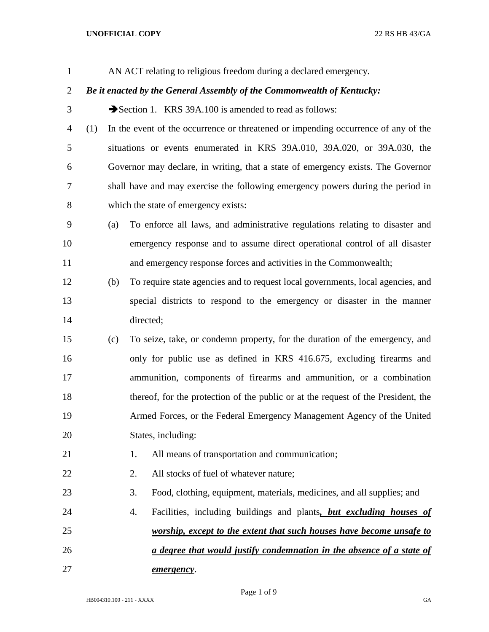## **UNOFFICIAL COPY** 22 RS HB 43/GA

| $\mathbf{1}$   |     |     | AN ACT relating to religious freedom during a declared emergency.                  |
|----------------|-----|-----|------------------------------------------------------------------------------------|
| $\overline{2}$ |     |     | Be it enacted by the General Assembly of the Commonwealth of Kentucky:             |
| 3              |     |     | Section 1. KRS 39A.100 is amended to read as follows:                              |
| 4              | (1) |     | In the event of the occurrence or threatened or impending occurrence of any of the |
| 5              |     |     | situations or events enumerated in KRS 39A.010, 39A.020, or 39A.030, the           |
| 6              |     |     | Governor may declare, in writing, that a state of emergency exists. The Governor   |
| 7              |     |     | shall have and may exercise the following emergency powers during the period in    |
| 8              |     |     | which the state of emergency exists:                                               |
| 9              |     | (a) | To enforce all laws, and administrative regulations relating to disaster and       |
| 10             |     |     | emergency response and to assume direct operational control of all disaster        |
| 11             |     |     | and emergency response forces and activities in the Commonwealth;                  |
| 12             |     | (b) | To require state agencies and to request local governments, local agencies, and    |
| 13             |     |     | special districts to respond to the emergency or disaster in the manner            |
| 14             |     |     | directed;                                                                          |
| 15             |     | (c) | To seize, take, or condemn property, for the duration of the emergency, and        |
| 16             |     |     | only for public use as defined in KRS 416.675, excluding firearms and              |
| 17             |     |     | ammunition, components of firearms and ammunition, or a combination                |
| 18             |     |     | thereof, for the protection of the public or at the request of the President, the  |
| 19             |     |     | Armed Forces, or the Federal Emergency Management Agency of the United             |
| 20             |     |     | States, including:                                                                 |
| 21             |     |     | All means of transportation and communication;<br>1.                               |
| 22             |     |     | All stocks of fuel of whatever nature;<br>2.                                       |
| 23             |     |     | 3.<br>Food, clothing, equipment, materials, medicines, and all supplies; and       |
| 24             |     |     | Facilities, including buildings and plants, but excluding houses of<br>4.          |
| 25             |     |     | worship, except to the extent that such houses have become unsafe to               |
| 26             |     |     | a degree that would justify condemnation in the absence of a state of              |
| 27             |     |     | emergency.                                                                         |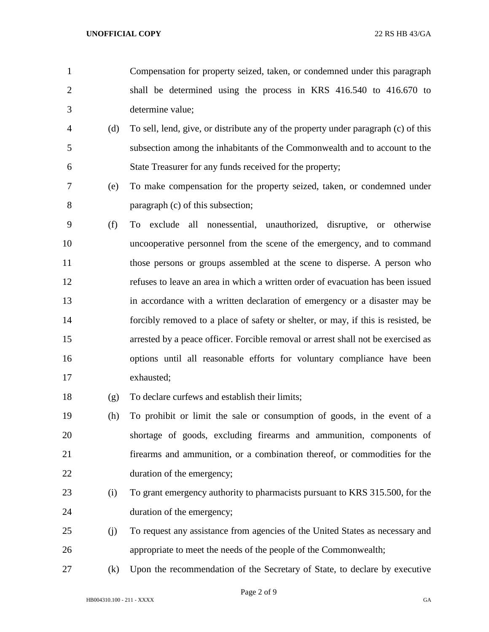- Compensation for property seized, taken, or condemned under this paragraph shall be determined using the process in KRS 416.540 to 416.670 to determine value;
- (d) To sell, lend, give, or distribute any of the property under paragraph (c) of this subsection among the inhabitants of the Commonwealth and to account to the State Treasurer for any funds received for the property;
- (e) To make compensation for the property seized, taken, or condemned under paragraph (c) of this subsection;
- (f) To exclude all nonessential, unauthorized, disruptive, or otherwise uncooperative personnel from the scene of the emergency, and to command 11 those persons or groups assembled at the scene to disperse. A person who refuses to leave an area in which a written order of evacuation has been issued in accordance with a written declaration of emergency or a disaster may be forcibly removed to a place of safety or shelter, or may, if this is resisted, be arrested by a peace officer. Forcible removal or arrest shall not be exercised as options until all reasonable efforts for voluntary compliance have been exhausted;
- (g) To declare curfews and establish their limits;
- (h) To prohibit or limit the sale or consumption of goods, in the event of a shortage of goods, excluding firearms and ammunition, components of firearms and ammunition, or a combination thereof, or commodities for the duration of the emergency;
- (i) To grant emergency authority to pharmacists pursuant to KRS 315.500, for the duration of the emergency;
- (j) To request any assistance from agencies of the United States as necessary and appropriate to meet the needs of the people of the Commonwealth;
- (k) Upon the recommendation of the Secretary of State, to declare by executive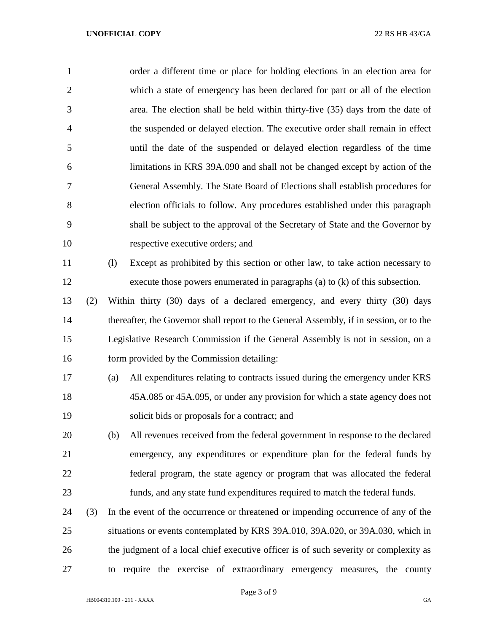| $\mathbf{1}$   |     | order a different time or place for holding elections in an election area for           |
|----------------|-----|-----------------------------------------------------------------------------------------|
| $\overline{2}$ |     | which a state of emergency has been declared for part or all of the election            |
| 3              |     | area. The election shall be held within thirty-five (35) days from the date of          |
| $\overline{4}$ |     | the suspended or delayed election. The executive order shall remain in effect           |
| 5              |     | until the date of the suspended or delayed election regardless of the time              |
| 6              |     | limitations in KRS 39A.090 and shall not be changed except by action of the             |
| 7              |     | General Assembly. The State Board of Elections shall establish procedures for           |
| 8              |     | election officials to follow. Any procedures established under this paragraph           |
| 9              |     | shall be subject to the approval of the Secretary of State and the Governor by          |
| 10             |     | respective executive orders; and                                                        |
| 11             |     | (1)<br>Except as prohibited by this section or other law, to take action necessary to   |
| 12             |     | execute those powers enumerated in paragraphs (a) to $(k)$ of this subsection.          |
| 13             | (2) | Within thirty (30) days of a declared emergency, and every thirty (30) days             |
| 14             |     | thereafter, the Governor shall report to the General Assembly, if in session, or to the |
| 15             |     | Legislative Research Commission if the General Assembly is not in session, on a         |
| 16             |     | form provided by the Commission detailing:                                              |
| 17             |     | All expenditures relating to contracts issued during the emergency under KRS<br>(a)     |
| 18             |     | 45A.085 or 45A.095, or under any provision for which a state agency does not            |
| 19             |     | solicit bids or proposals for a contract; and                                           |
| 20             |     | All revenues received from the federal government in response to the declared<br>(b)    |
| 21             |     | emergency, any expenditures or expenditure plan for the federal funds by                |
| 22             |     | federal program, the state agency or program that was allocated the federal             |
| 23             |     | funds, and any state fund expenditures required to match the federal funds.             |
| 24             | (3) | In the event of the occurrence or threatened or impending occurrence of any of the      |
| 25             |     | situations or events contemplated by KRS 39A.010, 39A.020, or 39A.030, which in         |
| 26             |     | the judgment of a local chief executive officer is of such severity or complexity as    |
| 27             |     | to require the exercise of extraordinary emergency measures, the county                 |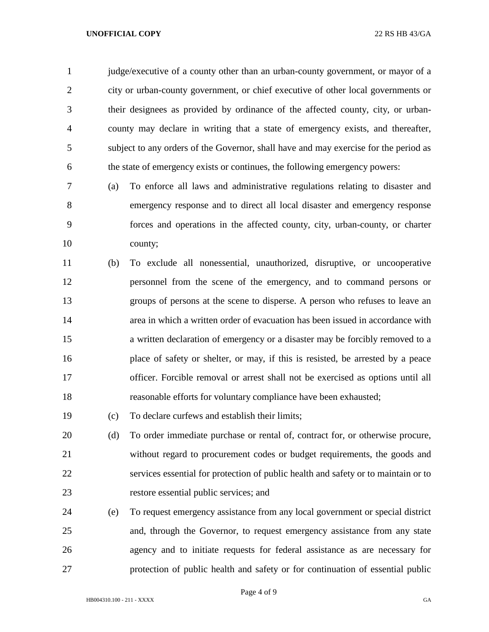## **UNOFFICIAL COPY** 22 RS HB 43/GA

 judge/executive of a county other than an urban-county government, or mayor of a city or urban-county government, or chief executive of other local governments or their designees as provided by ordinance of the affected county, city, or urban- county may declare in writing that a state of emergency exists, and thereafter, subject to any orders of the Governor, shall have and may exercise for the period as the state of emergency exists or continues, the following emergency powers:

- (a) To enforce all laws and administrative regulations relating to disaster and emergency response and to direct all local disaster and emergency response forces and operations in the affected county, city, urban-county, or charter county;
- (b) To exclude all nonessential, unauthorized, disruptive, or uncooperative personnel from the scene of the emergency, and to command persons or groups of persons at the scene to disperse. A person who refuses to leave an area in which a written order of evacuation has been issued in accordance with a written declaration of emergency or a disaster may be forcibly removed to a place of safety or shelter, or may, if this is resisted, be arrested by a peace officer. Forcible removal or arrest shall not be exercised as options until all reasonable efforts for voluntary compliance have been exhausted;
- (c) To declare curfews and establish their limits;
- (d) To order immediate purchase or rental of, contract for, or otherwise procure, without regard to procurement codes or budget requirements, the goods and services essential for protection of public health and safety or to maintain or to restore essential public services; and
- (e) To request emergency assistance from any local government or special district and, through the Governor, to request emergency assistance from any state agency and to initiate requests for federal assistance as are necessary for protection of public health and safety or for continuation of essential public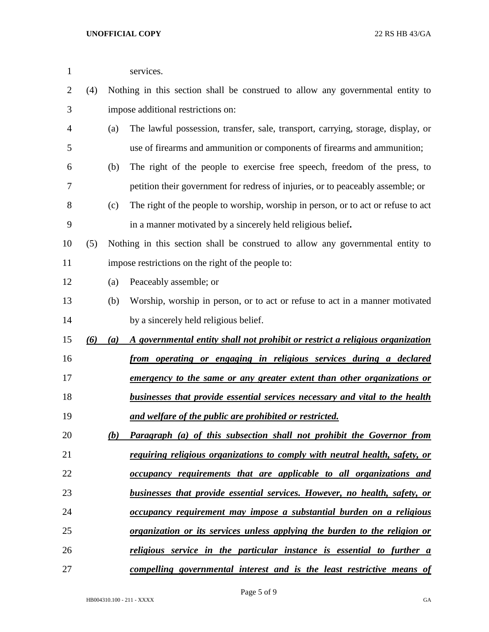| $\mathbf{1}$ |     |     | services.                                                                          |
|--------------|-----|-----|------------------------------------------------------------------------------------|
| 2            | (4) |     | Nothing in this section shall be construed to allow any governmental entity to     |
| 3            |     |     | impose additional restrictions on:                                                 |
| 4            |     | (a) | The lawful possession, transfer, sale, transport, carrying, storage, display, or   |
| 5            |     |     | use of firearms and ammunition or components of firearms and ammunition;           |
| 6            |     | (b) | The right of the people to exercise free speech, freedom of the press, to          |
| 7            |     |     | petition their government for redress of injuries, or to peaceably assemble; or    |
| 8            |     | (c) | The right of the people to worship, worship in person, or to act or refuse to act  |
| 9            |     |     | in a manner motivated by a sincerely held religious belief.                        |
| 10           | (5) |     | Nothing in this section shall be construed to allow any governmental entity to     |
| 11           |     |     | impose restrictions on the right of the people to:                                 |
| 12           |     | (a) | Peaceably assemble; or                                                             |
| 13           |     | (b) | Worship, worship in person, or to act or refuse to act in a manner motivated       |
| 14           |     |     | by a sincerely held religious belief.                                              |
| 15           | (6) | (a) | A governmental entity shall not prohibit or restrict a religious organization      |
| 16           |     |     | from operating or engaging in religious services during a declared                 |
| 17           |     |     | emergency to the same or any greater extent than other organizations or            |
| 18           |     |     | businesses that provide essential services necessary and vital to the health       |
| 19           |     |     | and welfare of the public are prohibited or restricted.                            |
| 20           |     | (b) | <b>Paragraph</b> (a) of this subsection shall not prohibit the Governor from       |
| 21           |     |     | <i>requiring religious organizations to comply with neutral health, safety, or</i> |
| 22           |     |     | occupancy requirements that are applicable to all organizations and                |
| 23           |     |     | businesses that provide essential services. However, no health, safety, or         |
| 24           |     |     | occupancy requirement may impose a substantial burden on a religious               |
| 25           |     |     | <u>organization or its services unless applying the burden to the religion or</u>  |
| 26           |     |     | religious service in the particular instance is essential to further a             |
| 27           |     |     | compelling governmental interest and is the least restrictive means of             |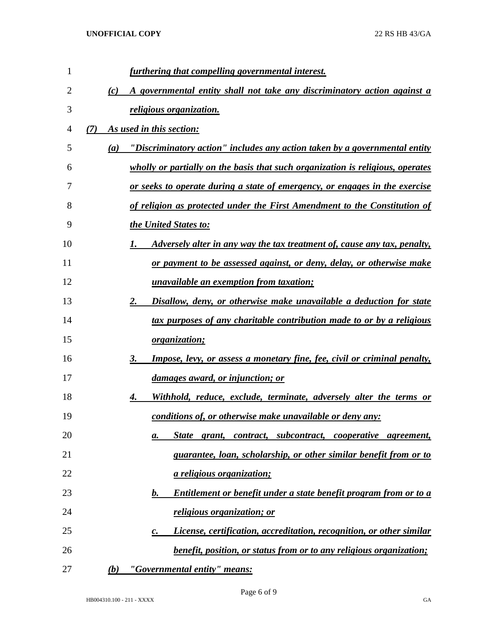| 1              | furthering that compelling governmental interest.                                     |
|----------------|---------------------------------------------------------------------------------------|
| $\overline{2}$ | A governmental entity shall not take any discriminatory action against a<br>(c)       |
| 3              | <i>religious organization.</i>                                                        |
| 4              | As used in this section:<br>(7)                                                       |
| 5              | "Discriminatory action" includes any action taken by a governmental entity<br>(a)     |
| 6              | wholly or partially on the basis that such organization is religious, operates        |
| 7              | or seeks to operate during a state of emergency, or engages in the exercise           |
| 8              | of religion as protected under the First Amendment to the Constitution of             |
| 9              | the United States to:                                                                 |
| 10             | Adversely alter in any way the tax treatment of, cause any tax, penalty,<br>1.        |
| 11             | <u>or payment to be assessed against, or deny, delay, or otherwise make</u>           |
| 12             | unavailable an exemption from taxation;                                               |
| 13             | Disallow, deny, or otherwise make unavailable a deduction for state<br>2.             |
| 14             | tax purposes of any charitable contribution made to or by a religious                 |
| 15             | <i>organization;</i>                                                                  |
| 16             | 3.<br><b>Impose, levy, or assess a monetary fine, fee, civil or criminal penalty,</b> |
| 17             | <u>damages award, or injunction; or</u>                                               |
| 18             | Withhold, reduce, exclude, terminate, adversely alter the terms or<br>4.              |
| 19             | conditions of, or otherwise make unavailable or deny any:                             |
| 20             | State grant, contract, subcontract, cooperative agreement,<br>а.                      |
| 21             | guarantee, loan, scholarship, or other similar benefit from or to                     |
| 22             | <i>a religious organization;</i>                                                      |
| 23             | Entitlement or benefit under a state benefit program from or to a<br>$\bm{b}$ .       |
| 24             | <i>religious organization; or</i>                                                     |
| 25             | <i>License, certification, accreditation, recognition, or other similar</i><br>c.     |
| 26             | <i>benefit, position, or status from or to any religious organization;</i>            |
| 27             | "Governmental entity" means:<br>(b)                                                   |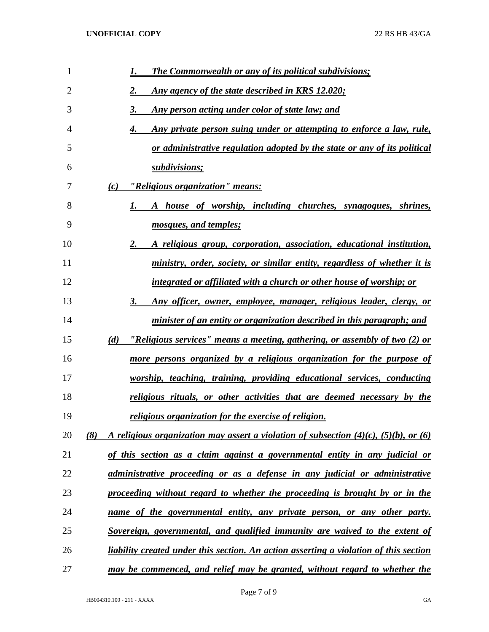| 1              | <b>The Commonwealth or any of its political subdivisions;</b><br>1.                                 |
|----------------|-----------------------------------------------------------------------------------------------------|
| $\overline{2}$ | 2.<br>Any agency of the state described in KRS 12.020;                                              |
| 3              | 3.<br>Any person acting under color of state law; and                                               |
| 4              | Any private person suing under or attempting to enforce a law, rule,<br>4.                          |
| 5              | or administrative regulation adopted by the state or any of its political                           |
| 6              | subdivisions;                                                                                       |
| 7              | "Religious organization" means:<br>(c)                                                              |
| 8              | A house of worship, including churches, synagogues, shrines,                                        |
| 9              | mosques, and temples;                                                                               |
| 10             | 2.<br>A religious group, corporation, association, educational institution,                         |
| 11             | ministry, order, society, or similar entity, regardless of whether it is                            |
| 12             | integrated or affiliated with a church or other house of worship; or                                |
| 13             | 3.<br>Any officer, owner, employee, manager, religious leader, clergy, or                           |
| 14             | minister of an entity or organization described in this paragraph; and                              |
| 15             | "Religious services" means a meeting, gathering, or assembly of two (2) or<br>(d)                   |
| 16             | more persons organized by a religious organization for the purpose of                               |
| 17             | worship, teaching, training, providing educational services, conducting                             |
| 18             | religious rituals, or other activities that are deemed necessary by the                             |
| 19             | religious organization for the exercise of religion.                                                |
| 20             | A religious organization may assert a violation of subsection $(4)(c)$ , $(5)(b)$ , or $(6)$<br>(8) |
| 21             | of this section as a claim against a governmental entity in any judicial or                         |
| 22             | administrative proceeding or as a defense in any judicial or administrative                         |
| 23             | proceeding without regard to whether the proceeding is brought by or in the                         |
| 24             | name of the governmental entity, any private person, or any other party.                            |
| 25             | Sovereign, governmental, and qualified immunity are waived to the extent of                         |
| 26             | liability created under this section. An action asserting a violation of this section               |
| 27             | may be commenced, and relief may be granted, without regard to whether the                          |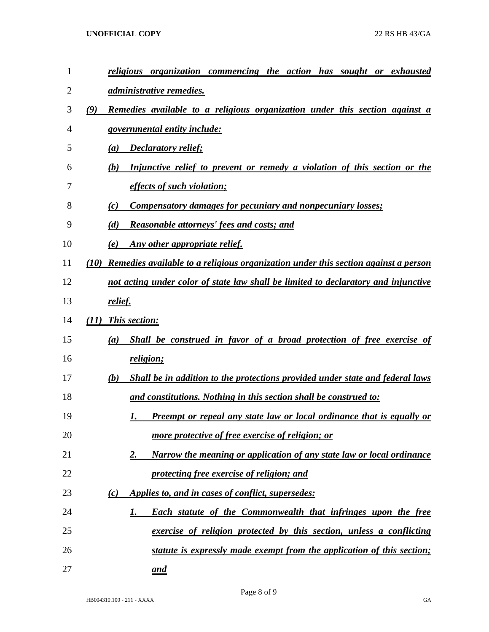## **UNOFFICIAL COPY** 22 RS HB 43/GA

| 1  |      | religious organization commencing the action has sought or exhausted                 |
|----|------|--------------------------------------------------------------------------------------|
| 2  |      | administrative remedies.                                                             |
| 3  | (9)  | Remedies available to a religious organization under this section against a          |
| 4  |      | governmental entity include:                                                         |
| 5  |      | <b>Declaratory relief;</b><br>(a)                                                    |
| 6  |      | Injunctive relief to prevent or remedy a violation of this section or the<br>(b)     |
| 7  |      | <i>effects of such violation;</i>                                                    |
| 8  |      | <b>Compensatory damages for pecuniary and nonpecuniary losses;</b><br>(c)            |
| 9  |      | Reasonable attorneys' fees and costs; and<br>(d)                                     |
| 10 |      | Any other appropriate relief.<br>(e)                                                 |
| 11 | (10) | Remedies available to a religious organization under this section against a person   |
| 12 |      | not acting under color of state law shall be limited to declaratory and injunctive   |
| 13 |      | <u>relief.</u>                                                                       |
| 14 |      | (11) This section:                                                                   |
| 15 |      | Shall be construed in favor of a broad protection of free exercise of<br>(a)         |
| 16 |      | religion;                                                                            |
| 17 |      | Shall be in addition to the protections provided under state and federal laws<br>(b) |
| 18 |      | and constitutions. Nothing in this section shall be construed to:                    |
| 19 |      | Preempt or repeal any state law or local ordinance that is equally or<br>1.          |
| 20 |      | more protective of free exercise of religion; or                                     |
| 21 |      | Narrow the meaning or application of any state law or local ordinance<br>2.          |
| 22 |      | protecting free exercise of religion; and                                            |
| 23 |      | Applies to, and in cases of conflict, supersedes:<br>(c)                             |
| 24 |      | Each statute of the Commonwealth that infringes upon the free<br>1.                  |
| 25 |      | exercise of religion protected by this section, unless a conflicting                 |
| 26 |      | statute is expressly made exempt from the application of this section;               |
| 27 |      | and                                                                                  |